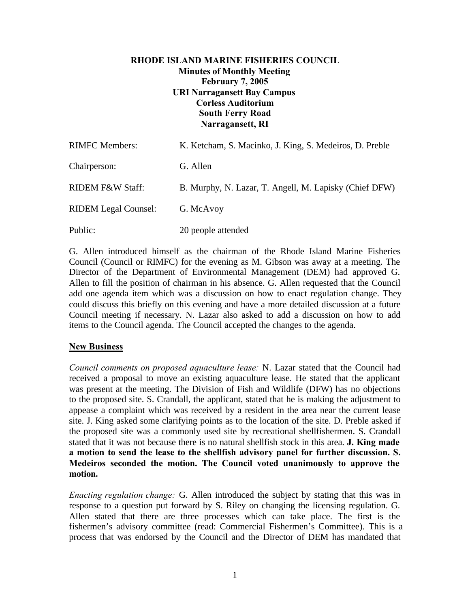# **RHODE ISLAND MARINE FISHERIES COUNCIL Minutes of Monthly Meeting February 7, 2005 URI Narragansett Bay Campus Corless Auditorium South Ferry Road Narragansett, RI**

| <b>RIMFC Members:</b>       | K. Ketcham, S. Macinko, J. King, S. Medeiros, D. Preble |
|-----------------------------|---------------------------------------------------------|
| Chairperson:                | G. Allen                                                |
| RIDEM F&W Staff:            | B. Murphy, N. Lazar, T. Angell, M. Lapisky (Chief DFW)  |
| <b>RIDEM Legal Counsel:</b> | G. McAvoy                                               |
| Public:                     | 20 people attended                                      |

G. Allen introduced himself as the chairman of the Rhode Island Marine Fisheries Council (Council or RIMFC) for the evening as M. Gibson was away at a meeting. The Director of the Department of Environmental Management (DEM) had approved G. Allen to fill the position of chairman in his absence. G. Allen requested that the Council add one agenda item which was a discussion on how to enact regulation change. They could discuss this briefly on this evening and have a more detailed discussion at a future Council meeting if necessary. N. Lazar also asked to add a discussion on how to add items to the Council agenda. The Council accepted the changes to the agenda.

# **New Business**

*Council comments on proposed aquaculture lease:* N. Lazar stated that the Council had received a proposal to move an existing aquaculture lease. He stated that the applicant was present at the meeting. The Division of Fish and Wildlife (DFW) has no objections to the proposed site. S. Crandall, the applicant, stated that he is making the adjustment to appease a complaint which was received by a resident in the area near the current lease site. J. King asked some clarifying points as to the location of the site. D. Preble asked if the proposed site was a commonly used site by recreational shellfishermen. S. Crandall stated that it was not because there is no natural shellfish stock in this area. **J. King made a motion to send the lease to the shellfish advisory panel for further discussion. S. Medeiros seconded the motion. The Council voted unanimously to approve the motion.**

*Enacting regulation change:* G. Allen introduced the subject by stating that this was in response to a question put forward by S. Riley on changing the licensing regulation. G. Allen stated that there are three processes which can take place. The first is the fishermen's advisory committee (read: Commercial Fishermen's Committee). This is a process that was endorsed by the Council and the Director of DEM has mandated that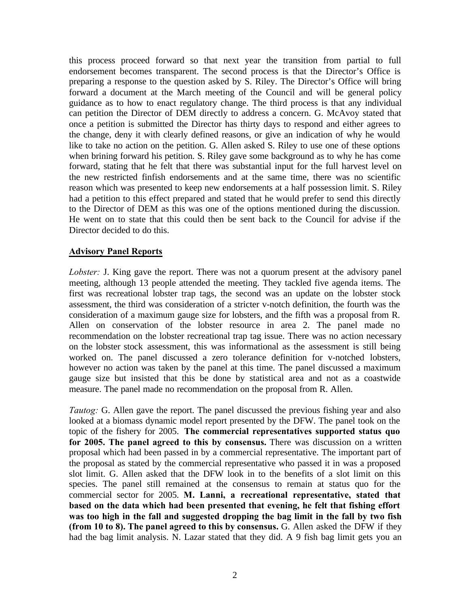this process proceed forward so that next year the transition from partial to full endorsement becomes transparent. The second process is that the Director's Office is preparing a response to the question asked by S. Riley. The Director's Office will bring forward a document at the March meeting of the Council and will be general policy guidance as to how to enact regulatory change. The third process is that any individual can petition the Director of DEM directly to address a concern. G. McAvoy stated that once a petition is submitted the Director has thirty days to respond and either agrees to the change, deny it with clearly defined reasons, or give an indication of why he would like to take no action on the petition. G. Allen asked S. Riley to use one of these options when brining forward his petition. S. Riley gave some background as to why he has come forward, stating that he felt that there was substantial input for the full harvest level on the new restricted finfish endorsements and at the same time, there was no scientific reason which was presented to keep new endorsements at a half possession limit. S. Riley had a petition to this effect prepared and stated that he would prefer to send this directly to the Director of DEM as this was one of the options mentioned during the discussion. He went on to state that this could then be sent back to the Council for advise if the Director decided to do this.

#### **Advisory Panel Reports**

*Lobster:* J. King gave the report. There was not a quorum present at the advisory panel meeting, although 13 people attended the meeting. They tackled five agenda items. The first was recreational lobster trap tags, the second was an update on the lobster stock assessment, the third was consideration of a stricter v-notch definition, the fourth was the consideration of a maximum gauge size for lobsters, and the fifth was a proposal from R. Allen on conservation of the lobster resource in area 2. The panel made no recommendation on the lobster recreational trap tag issue. There was no action necessary on the lobster stock assessment, this was informational as the assessment is still being worked on. The panel discussed a zero tolerance definition for v-notched lobsters, however no action was taken by the panel at this time. The panel discussed a maximum gauge size but insisted that this be done by statistical area and not as a coastwide measure. The panel made no recommendation on the proposal from R. Allen.

*Tautog:* G. Allen gave the report. The panel discussed the previous fishing year and also looked at a biomass dynamic model report presented by the DFW. The panel took on the topic of the fishery for 2005. **The commercial representatives supported status quo for 2005. The panel agreed to this by consensus.** There was discussion on a written proposal which had been passed in by a commercial representative. The important part of the proposal as stated by the commercial representative who passed it in was a proposed slot limit. G. Allen asked that the DFW look in to the benefits of a slot limit on this species. The panel still remained at the consensus to remain at status quo for the commercial sector for 2005. **M. Lanni, a recreational representative, stated that based on the data which had been presented that evening, he felt that fishing effort was too high in the fall and suggested dropping the bag limit in the fall by two fish (from 10 to 8). The panel agreed to this by consensus.** G. Allen asked the DFW if they had the bag limit analysis. N. Lazar stated that they did. A 9 fish bag limit gets you an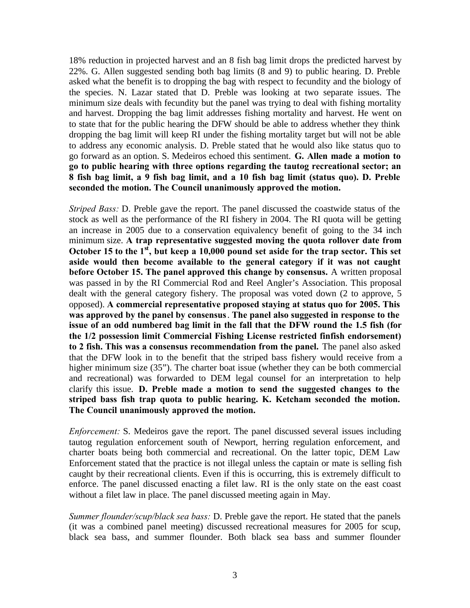18% reduction in projected harvest and an 8 fish bag limit drops the predicted harvest by 22%. G. Allen suggested sending both bag limits (8 and 9) to public hearing. D. Preble asked what the benefit is to dropping the bag with respect to fecundity and the biology of the species. N. Lazar stated that D. Preble was looking at two separate issues. The minimum size deals with fecundity but the panel was trying to deal with fishing mortality and harvest. Dropping the bag limit addresses fishing mortality and harvest. He went on to state that for the public hearing the DFW should be able to address whether they think dropping the bag limit will keep RI under the fishing mortality target but will not be able to address any economic analysis. D. Preble stated that he would also like status quo to go forward as an option. S. Medeiros echoed this sentiment. **G. Allen made a motion to go to public hearing with three options regarding the tautog recreational sector; an 8 fish bag limit, a 9 fish bag limit, and a 10 fish bag limit (status quo). D. Preble seconded the motion. The Council unanimously approved the motion.**

*Striped Bass:* D. Preble gave the report. The panel discussed the coastwide status of the stock as well as the performance of the RI fishery in 2004. The RI quota will be getting an increase in 2005 due to a conservation equivalency benefit of going to the 34 inch minimum size. **A trap representative suggested moving the quota rollover date from October 15 to the 1st, but keep a 10,000 pound set aside for the trap sector. This set aside would then become available to the general category if it was not caught before October 15. The panel approved this change by consensus.** A written proposal was passed in by the RI Commercial Rod and Reel Angler's Association. This proposal dealt with the general category fishery. The proposal was voted down (2 to approve, 5 opposed). **A commercial representative proposed staying at status quo for 2005. This was approved by the panel by consensus**. **The panel also suggested in response to the issue of an odd numbered bag limit in the fall that the DFW round the 1.5 fish (for the 1/2 possession limit Commercial Fishing License restricted finfish endorsement) to 2 fish. This was a consensus recommendation from the panel.** The panel also asked that the DFW look in to the benefit that the striped bass fishery would receive from a higher minimum size (35"). The charter boat issue (whether they can be both commercial and recreational) was forwarded to DEM legal counsel for an interpretation to help clarify this issue. **D. Preble made a motion to send the suggested changes to the striped bass fish trap quota to public hearing. K. Ketcham seconded the motion. The Council unanimously approved the motion.**

*Enforcement:* S. Medeiros gave the report. The panel discussed several issues including tautog regulation enforcement south of Newport, herring regulation enforcement, and charter boats being both commercial and recreational. On the latter topic, DEM Law Enforcement stated that the practice is not illegal unless the captain or mate is selling fish caught by their recreational clients. Even if this is occurring, this is extremely difficult to enforce. The panel discussed enacting a filet law. RI is the only state on the east coast without a filet law in place. The panel discussed meeting again in May.

*Summer flounder/scup/black sea bass:* D. Preble gave the report. He stated that the panels (it was a combined panel meeting) discussed recreational measures for 2005 for scup, black sea bass, and summer flounder. Both black sea bass and summer flounder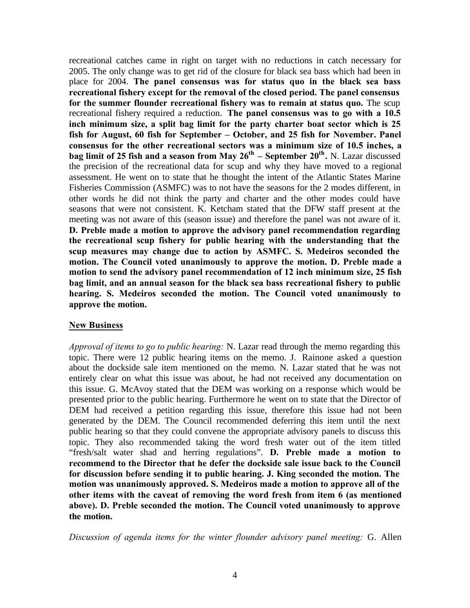recreational catches came in right on target with no reductions in catch necessary for 2005. The only change was to get rid of the closure for black sea bass which had been in place for 2004. **The panel consensus was for status quo in the black sea bass recreational fishery except for the removal of the closed period. The panel consensus for the summer flounder recreational fishery was to remain at status quo.** The scup recreational fishery required a reduction. **The panel consensus was to go with a 10.5 inch minimum size, a split bag limit for the party charter boat sector which is 25 fish for August, 60 fish for September – October, and 25 fish for November. Panel consensus for the other recreational sectors was a minimum size of 10.5 inches, a bag limit of 25 fish and a season from May 26th – September 20th .** N. Lazar discussed the precision of the recreational data for scup and why they have moved to a regional assessment. He went on to state that he thought the intent of the Atlantic States Marine Fisheries Commission (ASMFC) was to not have the seasons for the 2 modes different, in other words he did not think the party and charter and the other modes could have seasons that were not consistent. K. Ketcham stated that the DFW staff present at the meeting was not aware of this (season issue) and therefore the panel was not aware of it. **D. Preble made a motion to approve the advisory panel recommendation regarding the recreational scup fishery for public hearing with the understanding that the scup measures may change due to action by ASMFC. S. Medeiros seconded the motion. The Council voted unanimously to approve the motion. D. Preble made a motion to send the advisory panel recommendation of 12 inch minimum size, 25 fish bag limit, and an annual season for the black sea bass recreational fishery to public hearing. S. Medeiros seconded the motion. The Council voted unanimously to approve the motion.**

### **New Business**

*Approval of items to go to public hearing:* N. Lazar read through the memo regarding this topic. There were 12 public hearing items on the memo. J. Rainone asked a question about the dockside sale item mentioned on the memo. N. Lazar stated that he was not entirely clear on what this issue was about, he had not received any documentation on this issue. G. McAvoy stated that the DEM was working on a response which would be presented prior to the public hearing. Furthermore he went on to state that the Director of DEM had received a petition regarding this issue, therefore this issue had not been generated by the DEM. The Council recommended deferring this item until the next public hearing so that they could convene the appropriate advisory panels to discuss this topic. They also recommended taking the word fresh water out of the item titled "fresh/salt water shad and herring regulations". **D. Preble made a motion to recommend to the Director that he defer the dockside sale issue back to the Council for discussion before sending it to public hearing. J. King seconded the motion. The motion was unanimously approved. S. Medeiros made a motion to approve all of the other items with the caveat of removing the word fresh from item 6 (as mentioned above). D. Preble seconded the motion. The Council voted unanimously to approve the motion.**

*Discussion of agenda items for the winter flounder advisory panel meeting:* G. Allen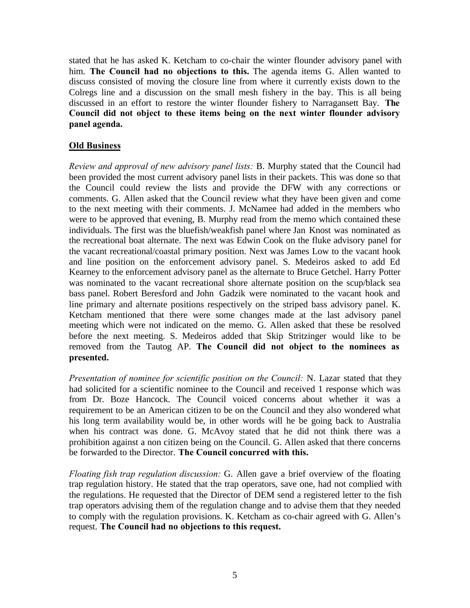stated that he has asked K. Ketcham to co-chair the winter flounder advisory panel with him. **The Council had no objections to this.** The agenda items G. Allen wanted to discuss consisted of moving the closure line from where it currently exists down to the Colregs line and a discussion on the small mesh fishery in the bay. This is all being discussed in an effort to restore the winter flounder fishery to Narragansett Bay. **The Council did not object to these items being on the next winter flounder advisory panel agenda.**

# **Old Business**

*Review and approval of new advisory panel lists:* B. Murphy stated that the Council had been provided the most current advisory panel lists in their packets. This was done so that the Council could review the lists and provide the DFW with any corrections or comments. G. Allen asked that the Council review what they have been given and come to the next meeting with their comments. J. McNamee had added in the members who were to be approved that evening, B. Murphy read from the memo which contained these individuals. The first was the bluefish/weakfish panel where Jan Knost was nominated as the recreational boat alternate. The next was Edwin Cook on the fluke advisory panel for the vacant recreational/coastal primary position. Next was James Low to the vacant hook and line position on the enforcement advisory panel. S. Medeiros asked to add Ed Kearney to the enforcement advisory panel as the alternate to Bruce Getchel. Harry Potter was nominated to the vacant recreational shore alternate position on the scup/black sea bass panel. Robert Beresford and John Gadzik were nominated to the vacant hook and line primary and alternate positions respectively on the striped bass advisory panel. K. Ketcham mentioned that there were some changes made at the last advisory panel meeting which were not indicated on the memo. G. Allen asked that these be resolved before the next meeting. S. Medeiros added that Skip Stritzinger would like to be removed from the Tautog AP. **The Council did not object to the nominees as presented.**

*Presentation of nominee for scientific position on the Council:* N. Lazar stated that they had solicited for a scientific nominee to the Council and received 1 response which was from Dr. Boze Hancock. The Council voiced concerns about whether it was a requirement to be an American citizen to be on the Council and they also wondered what his long term availability would be, in other words will he be going back to Australia when his contract was done. G. McAvoy stated that he did not think there was a prohibition against a non citizen being on the Council. G. Allen asked that there concerns be forwarded to the Director. **The Council concurred with this.**

*Floating fish trap regulation discussion:* G. Allen gave a brief overview of the floating trap regulation history. He stated that the trap operators, save one, had not complied with the regulations. He requested that the Director of DEM send a registered letter to the fish trap operators advising them of the regulation change and to advise them that they needed to comply with the regulation provisions. K. Ketcham as co-chair agreed with G. Allen's request. **The Council had no objections to this request.**